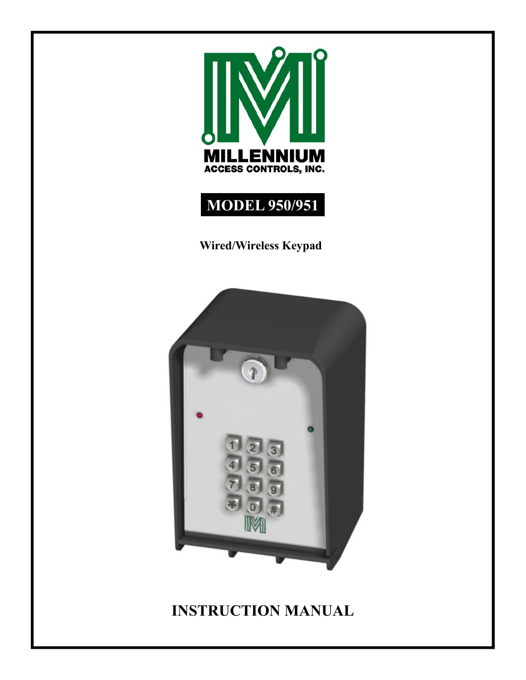

# **MODEL 950/951**

**Wired/Wireless Keypad** 



# **INSTRUCTION MANUAL**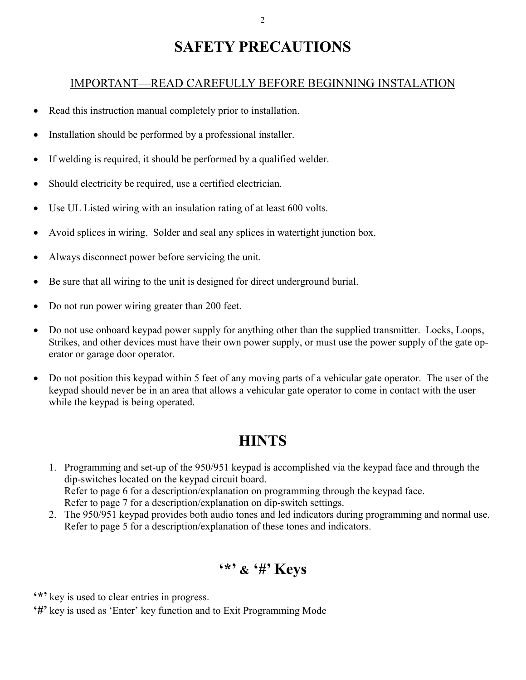### **SAFETY PRECAUTIONS**

#### IMPORTANT—READ CAREFULLY BEFORE BEGINNING INSTALATION

- Read this instruction manual completely prior to installation.
- Installation should be performed by a professional installer.
- If welding is required, it should be performed by a qualified welder.
- Should electricity be required, use a certified electrician.
- Use UL Listed wiring with an insulation rating of at least 600 volts.
- Avoid splices in wiring. Solder and seal any splices in watertight junction box.
- Always disconnect power before servicing the unit.
- Be sure that all wiring to the unit is designed for direct underground burial.
- Do not run power wiring greater than 200 feet.
- Do not use onboard keypad power supply for anything other than the supplied transmitter. Locks, Loops, Strikes, and other devices must have their own power supply, or must use the power supply of the gate operator or garage door operator.
- Do not position this keypad within 5 feet of any moving parts of a vehicular gate operator. The user of the keypad should never be in an area that allows a vehicular gate operator to come in contact with the user while the keypad is being operated.

# **HINTS**

- 1. Programming and set-up of the 950/951 keypad is accomplished via the keypad face and through the dip-switches located on the keypad circuit board. Refer to page 6 for a description/explanation on programming through the keypad face. Refer to page 7 for a description/explanation on dip-switch settings.
- 2. The 950/951 keypad provides both audio tones and led indicators during programming and normal use. Refer to page 5 for a description/explanation of these tones and indicators.

# **'\*' & '#' Keys**

**'\*'** key is used to clear entries in progress.

**'#'** key is used as 'Enter' key function and to Exit Programming Mode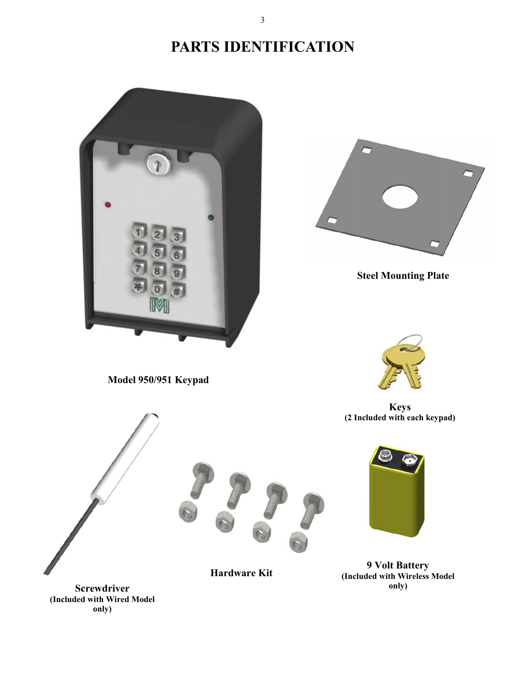# **PARTS IDENTIFICATION**



**Model 950/951 Keypad** 



 **Steel Mounting Plate** 



**Keys (2 Included with each keypad)** 



**9 Volt Battery (Included with Wireless Model only)** 



**Hardware Kit**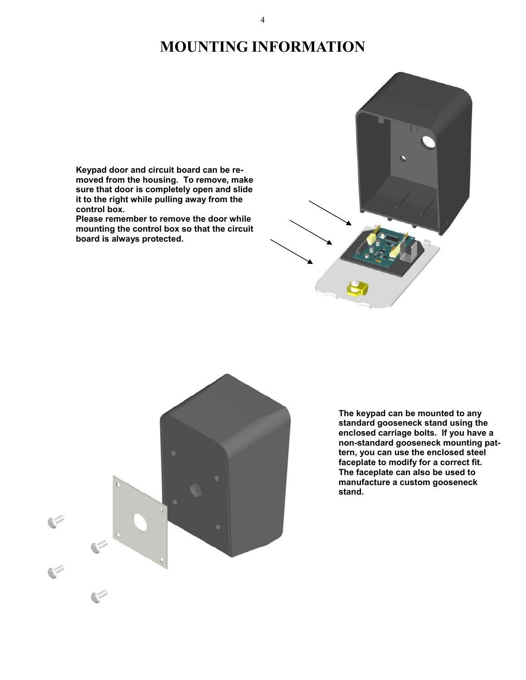# **MOUNTING INFORMATION**

**Keypad door and circuit board can be removed from the housing. To remove, make sure that door is completely open and slide it to the right while pulling away from the control box.** 

**Please remember to remove the door while mounting the control box so that the circuit board is always protected.** 





**The keypad can be mounted to any standard gooseneck stand using the enclosed carriage bolts. If you have a non-standard gooseneck mounting pattern, you can use the enclosed steel faceplate to modify for a correct fit. The faceplate can also be used to manufacture a custom gooseneck stand.**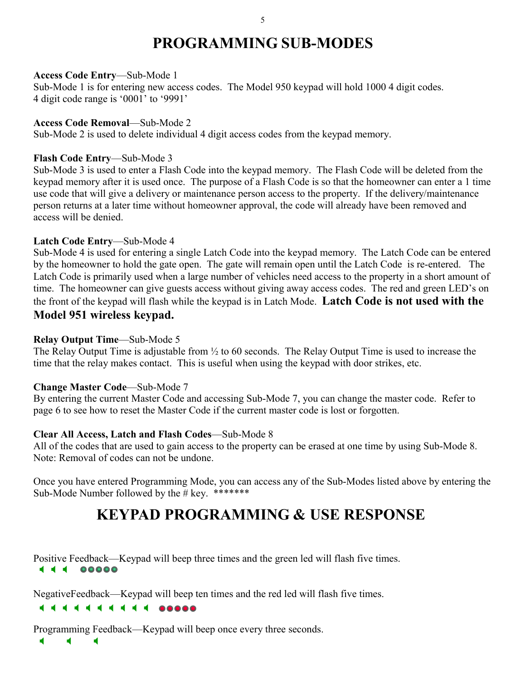### **PROGRAMMING SUB-MODES**

#### **Access Code Entry**—Sub-Mode 1

Sub-Mode 1 is for entering new access codes. The Model 950 keypad will hold 1000 4 digit codes. 4 digit code range is '0001' to '9991'

#### **Access Code Removal**—Sub-Mode 2

Sub-Mode 2 is used to delete individual 4 digit access codes from the keypad memory.

#### **Flash Code Entry**—Sub-Mode 3

Sub-Mode 3 is used to enter a Flash Code into the keypad memory. The Flash Code will be deleted from the keypad memory after it is used once. The purpose of a Flash Code is so that the homeowner can enter a 1 time use code that will give a delivery or maintenance person access to the property. If the delivery/maintenance person returns at a later time without homeowner approval, the code will already have been removed and access will be denied.

#### **Latch Code Entry**—Sub-Mode 4

Sub-Mode 4 is used for entering a single Latch Code into the keypad memory. The Latch Code can be entered by the homeowner to hold the gate open. The gate will remain open until the Latch Code is re-entered. The Latch Code is primarily used when a large number of vehicles need access to the property in a short amount of time. The homeowner can give guests access without giving away access codes. The red and green LED's on the front of the keypad will flash while the keypad is in Latch Mode. **Latch Code is not used with the Model 951 wireless keypad.** 

#### **Relay Output Time**—Sub-Mode 5

The Relay Output Time is adjustable from ½ to 60 seconds. The Relay Output Time is used to increase the time that the relay makes contact. This is useful when using the keypad with door strikes, etc.

#### **Change Master Code**—Sub-Mode 7

By entering the current Master Code and accessing Sub-Mode 7, you can change the master code. Refer to page 6 to see how to reset the Master Code if the current master code is lost or forgotten.

#### **Clear All Access, Latch and Flash Codes**—Sub-Mode 8

All of the codes that are used to gain access to the property can be erased at one time by using Sub-Mode 8. Note: Removal of codes can not be undone.

Once you have entered Programming Mode, you can access any of the Sub-Modes listed above by entering the Sub-Mode Number followed by the  $#$  key. \*\*\*\*\*\*\*

# **KEYPAD PROGRAMMING & USE RESPONSE**

; ; ; Positive Feedback—Keypad will beep three times and the green led will flash five times.

NegativeFeedback—Keypad will beep ten times and the red led will flash five times.

 $\bf{1}$   $\bf{1}$   $\bf{1}$   $\bf{1}$   $\bf{1}$   $\bf{1}$   $\bf{1}$   $\bf{1}$   $\bf{1}$   $\bf{1}$   $\bf{1}$   $\bf{1}$   $\bf{1}$   $\bf{0}$   $\bf{0}$   $\bf{0}$   $\bf{0}$ 

Programming Feedback—Keypad will beep once every three seconds.

 $\blacksquare$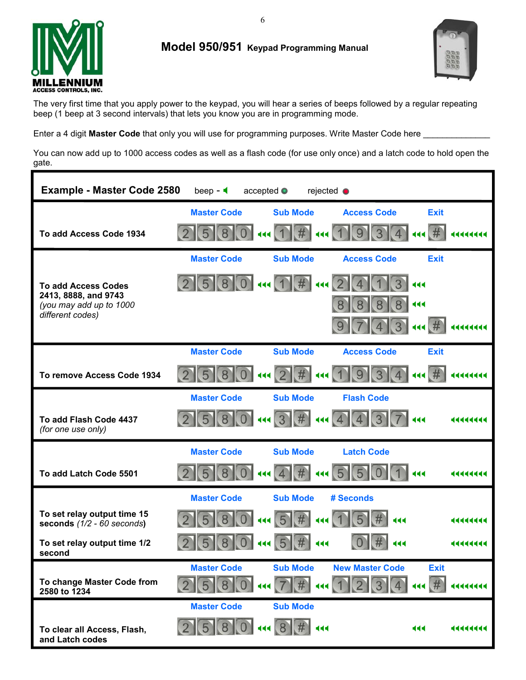

**Model 950/951 Keypad Programming Manual** 



The very first time that you apply power to the keypad, you will hear a series of beeps followed by a regular repeating beep (1 beep at 3 second intervals) that lets you know you are in programming mode.

Enter a 4 digit **Master Code** that only you will use for programming purposes. Write Master Code here \_\_\_\_\_\_\_\_\_\_\_\_\_\_

You can now add up to 1000 access codes as well as a flash code (for use only once) and a latch code to hold open the gate.

| <b>Example - Master Code 2580</b><br>beep - $\blacksquare$<br>$accepted$ $\bullet$<br>rejected $\bullet$ |                       |       |                 |         |                          |             |           |
|----------------------------------------------------------------------------------------------------------|-----------------------|-------|-----------------|---------|--------------------------|-------------|-----------|
|                                                                                                          | <b>Master Code</b>    |       | <b>Sub Mode</b> |         | <b>Access Code</b>       | <b>Exit</b> |           |
| To add Access Code 1934                                                                                  | 8                     | 444 1 | $\sqrt{\#}$     | 44 1    | 9<br>3                   | #           |           |
|                                                                                                          | <b>Master Code</b>    |       | <b>Sub Mode</b> |         | <b>Access Code</b>       | <b>Exit</b> |           |
| <b>To add Access Codes</b>                                                                               | $580$ $1#$<br> 2      |       |                 |         | $\sqrt{2}$               | 444         |           |
| 2413, 8888, and 9743<br>(you may add up to 1000<br>different codes)                                      |                       |       |                 |         |                          | 444         |           |
|                                                                                                          |                       |       |                 |         | 3                        | $444$ #     |           |
|                                                                                                          | <b>Master Code</b>    |       | <b>Sub Mode</b> |         | <b>Access Code</b>       | <b>Exit</b> |           |
| To remove Access Code 1934                                                                               |                       |       |                 |         |                          | 444.#       |           |
|                                                                                                          | <b>Master Code</b>    |       | <b>Sub Mode</b> |         | <b>Flash Code</b>        |             |           |
| To add Flash Code 4437<br>(for one use only)                                                             | $\left 2\right $<br>5 |       | 80 44 3 #       | 444 [4] | 3 <br>$\left  4 \right $ | 444         |           |
|                                                                                                          | <b>Master Code</b>    |       | <b>Sub Mode</b> |         | <b>Latch Code</b>        |             |           |
| To add Latch Code 5501                                                                                   |                       | 444   | #               | 444 5   |                          |             |           |
|                                                                                                          | <b>Master Code</b>    |       | <b>Sub Mode</b> |         | # Seconds                |             |           |
| To set relay output time 15<br>seconds $(1/2 - 60$ seconds)                                              | 8                     | 444   | #<br>5          | 444     | #<br>444                 |             | ,,,,,,,,, |
| To set relay output time 1/2<br>second                                                                   |                       | 444   | #<br>5          | 444     |                          |             |           |
| To change Master Code from                                                                               | <b>Master Code</b>    |       | <b>Sub Mode</b> |         | <b>New Master Code</b>   | <b>Exit</b> |           |
| 2580 to 1234                                                                                             |                       |       | #               |         |                          | #           |           |
|                                                                                                          | <b>Master Code</b>    |       | <b>Sub Mode</b> |         |                          |             |           |
| To clear all Access, Flash,<br>and Latch codes                                                           |                       | 444 8 | #               | $-444$  |                          | 444         | ,,,,,,,,  |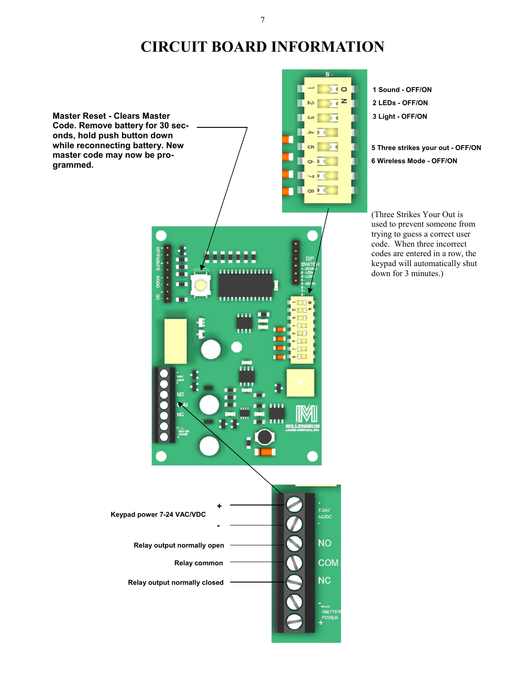### **CIRCUIT BOARD INFORMATION**



**1 Sound - OFF/ON 2 LEDs - OFF/ON 3 Light - OFF/ON** 

 $\overline{\phantom{a}}$  10

**5 Three strikes your out - OFF/ON 6 Wireless Mode - OFF/ON** 

(Three Strikes Your Out is used to prevent someone from trying to guess a correct user code. When three incorrect codes are entered in a row, the keypad will automatically shut down for 3 minutes.)